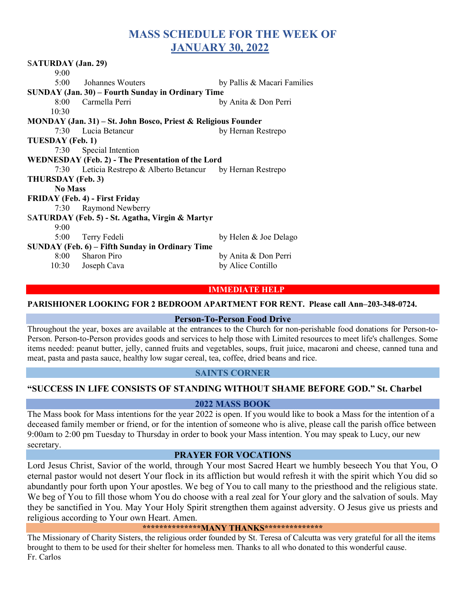# MASS SCHEDULE FOR THE WEEK OF JANUARY 30, 2022

| <b>SATURDAY</b> (Jan. 29)                                     |                                                             |                             |
|---------------------------------------------------------------|-------------------------------------------------------------|-----------------------------|
| 9:00                                                          |                                                             |                             |
|                                                               | 5:00 Johannes Wouters                                       | by Pallis & Macari Families |
| SUNDAY (Jan. 30) – Fourth Sunday in Ordinary Time             |                                                             |                             |
|                                                               | 8:00 Carmella Perri                                         | by Anita & Don Perri        |
| 10:30                                                         |                                                             |                             |
| MONDAY (Jan. 31) – St. John Bosco, Priest & Religious Founder |                                                             |                             |
|                                                               | 7:30 Lucia Betancur                                         | by Hernan Restrepo          |
| TUESDAY (Feb. 1)                                              |                                                             |                             |
|                                                               | 7:30 Special Intention                                      |                             |
| <b>WEDNESDAY (Feb. 2) - The Presentation of the Lord</b>      |                                                             |                             |
|                                                               | 7:30 Leticia Restrepo & Alberto Betancur by Hernan Restrepo |                             |
| THURSDAY (Feb. 3)                                             |                                                             |                             |
| <b>No Mass</b>                                                |                                                             |                             |
| <b>FRIDAY</b> (Feb. 4) - First Friday                         |                                                             |                             |
|                                                               | 7:30 Raymond Newberry                                       |                             |
| SATURDAY (Feb. 5) - St. Agatha, Virgin & Martyr               |                                                             |                             |
| 9:00                                                          |                                                             |                             |
| 5:00                                                          | Terry Fedeli                                                | by Helen & Joe Delago       |
| SUNDAY (Feb. 6) – Fifth Sunday in Ordinary Time               |                                                             |                             |
|                                                               | 8:00 Sharon Piro                                            | by Anita & Don Perri        |
|                                                               | 10:30 Joseph Cava                                           | by Alice Contillo           |
|                                                               |                                                             |                             |

# IMMEDIATE HELP

#### PARISHIONER LOOKING FOR 2 BEDROOM APARTMENT FOR RENT. Please call Ann–203-348-0724.

# Person-To-Person Food Drive

Throughout the year, boxes are available at the entrances to the Church for non-perishable food donations for Person-to-Person. Person-to-Person provides goods and services to help those with Limited resources to meet life's challenges. Some items needed: peanut butter, jelly, canned fruits and vegetables, soups, fruit juice, macaroni and cheese, canned tuna and meat, pasta and pasta sauce, healthy low sugar cereal, tea, coffee, dried beans and rice.

# SAINTS CORNER

# "SUCCESS IN LIFE CONSISTS OF STANDING WITHOUT SHAME BEFORE GOD." St. Charbel

#### 2022 MASS BOOK

The Mass book for Mass intentions for the year 2022 is open. If you would like to book a Mass for the intention of a deceased family member or friend, or for the intention of someone who is alive, please call the parish office between 9:00am to 2:00 pm Tuesday to Thursday in order to book your Mass intention. You may speak to Lucy, our new secretary.

### PRAYER FOR VOCATIONS

Lord Jesus Christ, Savior of the world, through Your most Sacred Heart we humbly beseech You that You, O eternal pastor would not desert Your flock in its affliction but would refresh it with the spirit which You did so abundantly pour forth upon Your apostles. We beg of You to call many to the priesthood and the religious state. We beg of You to fill those whom You do choose with a real zeal for Your glory and the salvation of souls. May they be sanctified in You. May Your Holy Spirit strengthen them against adversity. O Jesus give us priests and religious according to Your own Heart. Amen.

\*\*\*\*\*\*\*\*\*\*\*\*\*\*MANY THANKS\*\*\*\*\*\*\*\*\*\*\*\*\*\*\*

The Missionary of Charity Sisters, the religious order founded by St. Teresa of Calcutta was very grateful for all the items brought to them to be used for their shelter for homeless men. Thanks to all who donated to this wonderful cause. Fr. Carlos